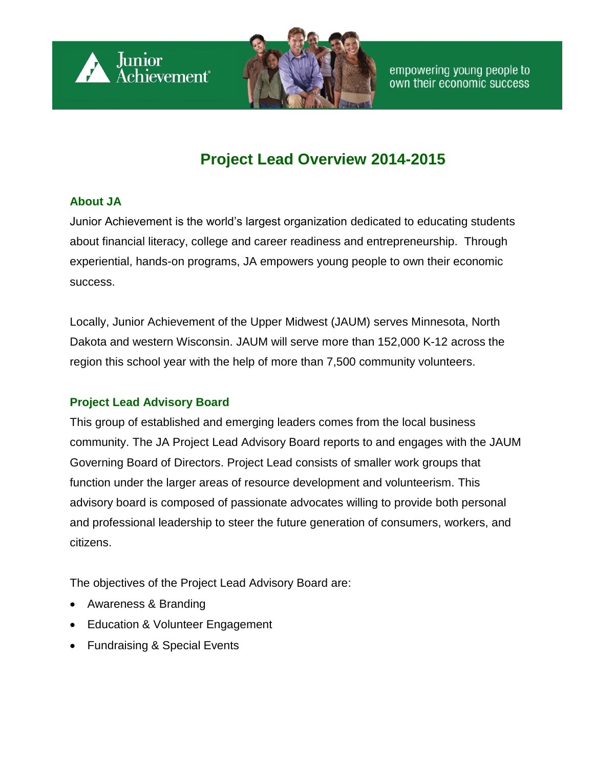

# **Project Lead Overview 2014-2015**

#### **About JA**

Junior Achievement is the world's largest organization dedicated to educating students about financial literacy, college and career readiness and entrepreneurship. Through experiential, hands-on programs, JA empowers young people to own their economic success.

Locally, Junior Achievement of the Upper Midwest (JAUM) serves Minnesota, North Dakota and western Wisconsin. JAUM will serve more than 152,000 K-12 across the region this school year with the help of more than 7,500 community volunteers.

# **Project Lead Advisory Board**

This group of established and emerging leaders comes from the local business community. The JA Project Lead Advisory Board reports to and engages with the JAUM Governing Board of Directors. Project Lead consists of smaller work groups that function under the larger areas of resource development and volunteerism. This advisory board is composed of passionate advocates willing to provide both personal and professional leadership to steer the future generation of consumers, workers, and citizens.

The objectives of the Project Lead Advisory Board are:

- Awareness & Branding
- **Education & Volunteer Engagement**
- Fundraising & Special Events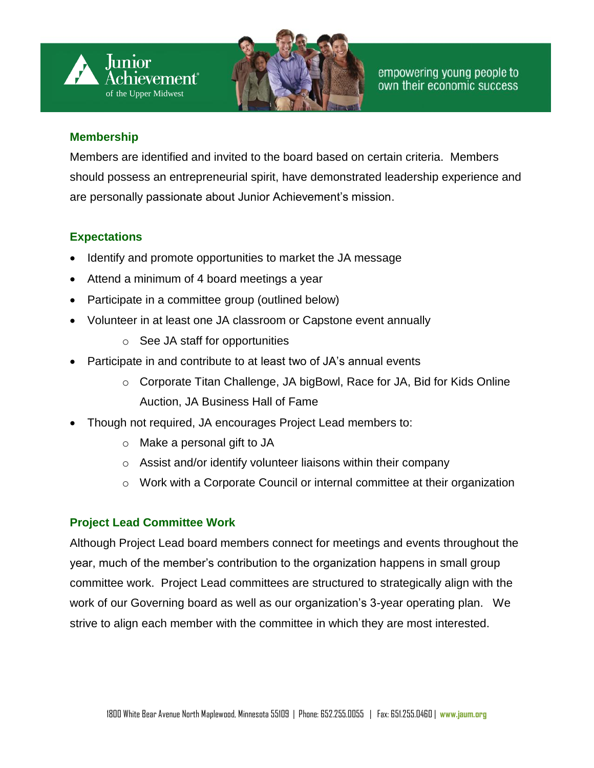



#### **Membership**

Members are identified and invited to the board based on certain criteria. Members should possess an entrepreneurial spirit, have demonstrated leadership experience and are personally passionate about Junior Achievement's mission.

# **Expectations**

- Identify and promote opportunities to market the JA message
- Attend a minimum of 4 board meetings a year
- Participate in a committee group (outlined below)
- Volunteer in at least one JA classroom or Capstone event annually
	- o See JA staff for opportunities
- Participate in and contribute to at least two of JA's annual events
	- o Corporate Titan Challenge, JA bigBowl, Race for JA, Bid for Kids Online Auction, JA Business Hall of Fame
- Though not required, JA encourages Project Lead members to:
	- o Make a personal gift to JA
	- o Assist and/or identify volunteer liaisons within their company
	- o Work with a Corporate Council or internal committee at their organization

# **Project Lead Committee Work**

Although Project Lead board members connect for meetings and events throughout the year, much of the member's contribution to the organization happens in small group committee work. Project Lead committees are structured to strategically align with the work of our Governing board as well as our organization's 3-year operating plan. We strive to align each member with the committee in which they are most interested.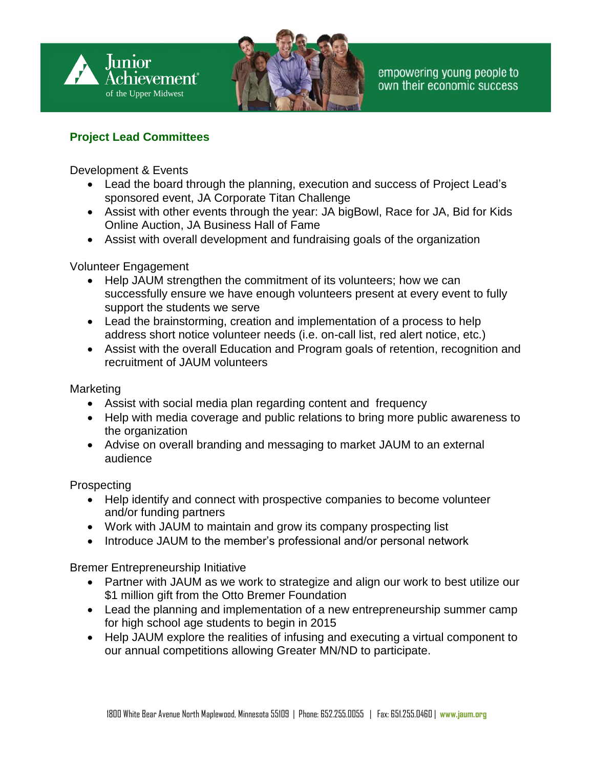

### **Project Lead Committees**

Development & Events

- Lead the board through the planning, execution and success of Project Lead's sponsored event, JA Corporate Titan Challenge
- Assist with other events through the year: JA bigBowl, Race for JA, Bid for Kids Online Auction, JA Business Hall of Fame
- Assist with overall development and fundraising goals of the organization

#### Volunteer Engagement

- Help JAUM strengthen the commitment of its volunteers; how we can successfully ensure we have enough volunteers present at every event to fully support the students we serve
- Lead the brainstorming, creation and implementation of a process to help address short notice volunteer needs (i.e. on-call list, red alert notice, etc.)
- Assist with the overall Education and Program goals of retention, recognition and recruitment of JAUM volunteers

#### Marketing

- Assist with social media plan regarding content and frequency
- Help with media coverage and public relations to bring more public awareness to the organization
- Advise on overall branding and messaging to market JAUM to an external audience

Prospecting

- Help identify and connect with prospective companies to become volunteer and/or funding partners
- Work with JAUM to maintain and grow its company prospecting list
- Introduce JAUM to the member's professional and/or personal network

Bremer Entrepreneurship Initiative

- Partner with JAUM as we work to strategize and align our work to best utilize our \$1 million gift from the Otto Bremer Foundation
- Lead the planning and implementation of a new entrepreneurship summer camp for high school age students to begin in 2015
- Help JAUM explore the realities of infusing and executing a virtual component to our annual competitions allowing Greater MN/ND to participate.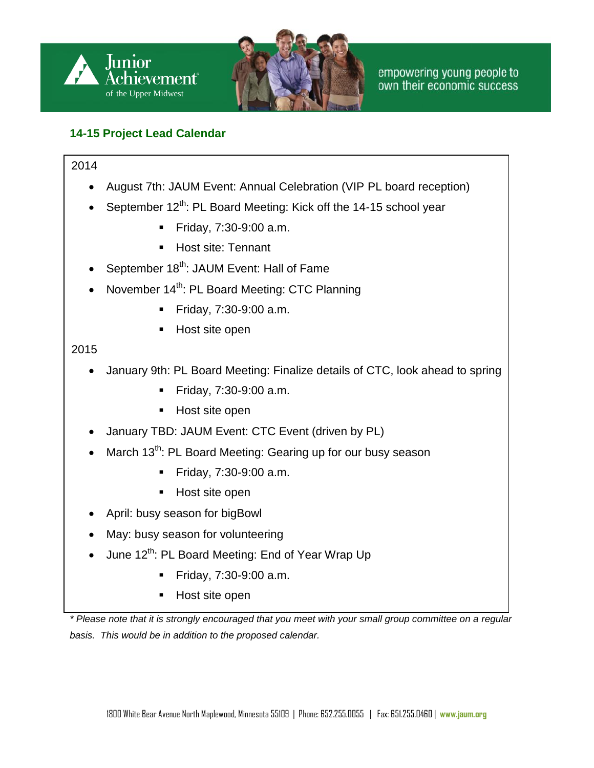

# **14-15 Project Lead Calendar**

#### 2014

- August 7th: JAUM Event: Annual Celebration (VIP PL board reception)
- September 12<sup>th</sup>: PL Board Meeting: Kick off the 14-15 school year
	- **Friday, 7:30-9:00 a.m.**
	- **Host site: Tennant**
- September 18<sup>th</sup>: JAUM Event: Hall of Fame
- November 14<sup>th</sup>: PL Board Meeting: CTC Planning
	- **Friday, 7:30-9:00 a.m.**
	- Host site open

#### 2015

- January 9th: PL Board Meeting: Finalize details of CTC, look ahead to spring
	- **Friday, 7:30-9:00 a.m.**
	- Host site open
- January TBD: JAUM Event: CTC Event (driven by PL)
- March  $13^{th}$ : PL Board Meeting: Gearing up for our busy season
	- **Friday, 7:30-9:00 a.m.**
	- Host site open
- April: busy season for bigBowl
- May: busy season for volunteering
- $\bullet$  June 12<sup>th</sup>: PL Board Meeting: End of Year Wrap Up
	- **Friday, 7:30-9:00 a.m.**
	- **Host site open**

*\* Please note that it is strongly encouraged that you meet with your small group committee on a regular basis. This would be in addition to the proposed calendar.*